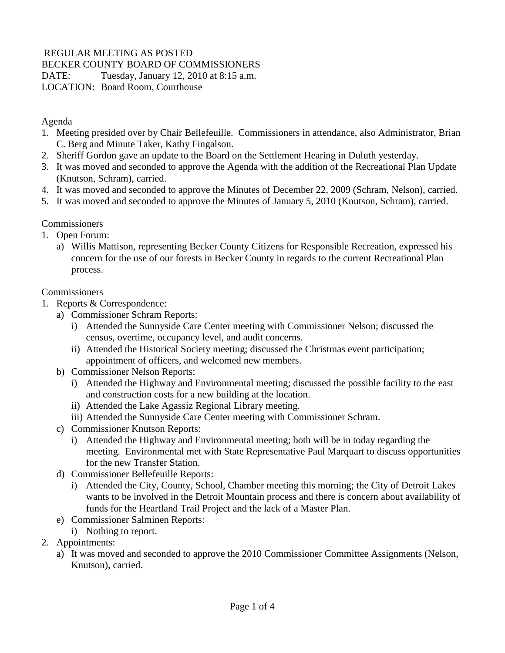## REGULAR MEETING AS POSTED

BECKER COUNTY BOARD OF COMMISSIONERS

DATE: Tuesday, January 12, 2010 at 8:15 a.m.

LOCATION: Board Room, Courthouse

Agenda

- 1. Meeting presided over by Chair Bellefeuille. Commissioners in attendance, also Administrator, Brian C. Berg and Minute Taker, Kathy Fingalson.
- 2. Sheriff Gordon gave an update to the Board on the Settlement Hearing in Duluth yesterday.
- 3. It was moved and seconded to approve the Agenda with the addition of the Recreational Plan Update (Knutson, Schram), carried.
- 4. It was moved and seconded to approve the Minutes of December 22, 2009 (Schram, Nelson), carried.
- 5. It was moved and seconded to approve the Minutes of January 5, 2010 (Knutson, Schram), carried.

## **Commissioners**

- 1. Open Forum:
	- a) Willis Mattison, representing Becker County Citizens for Responsible Recreation, expressed his concern for the use of our forests in Becker County in regards to the current Recreational Plan process.

## **Commissioners**

- 1. Reports & Correspondence:
	- a) Commissioner Schram Reports:
		- i) Attended the Sunnyside Care Center meeting with Commissioner Nelson; discussed the census, overtime, occupancy level, and audit concerns.
		- ii) Attended the Historical Society meeting; discussed the Christmas event participation; appointment of officers, and welcomed new members.
	- b) Commissioner Nelson Reports:
		- i) Attended the Highway and Environmental meeting; discussed the possible facility to the east and construction costs for a new building at the location.
		- ii) Attended the Lake Agassiz Regional Library meeting.
		- iii) Attended the Sunnyside Care Center meeting with Commissioner Schram.
	- c) Commissioner Knutson Reports:
		- i) Attended the Highway and Environmental meeting; both will be in today regarding the meeting. Environmental met with State Representative Paul Marquart to discuss opportunities for the new Transfer Station.
	- d) Commissioner Bellefeuille Reports:
		- i) Attended the City, County, School, Chamber meeting this morning; the City of Detroit Lakes wants to be involved in the Detroit Mountain process and there is concern about availability of funds for the Heartland Trail Project and the lack of a Master Plan.
	- e) Commissioner Salminen Reports:
	- i) Nothing to report.
- 2. Appointments:
	- a) It was moved and seconded to approve the 2010 Commissioner Committee Assignments (Nelson, Knutson), carried.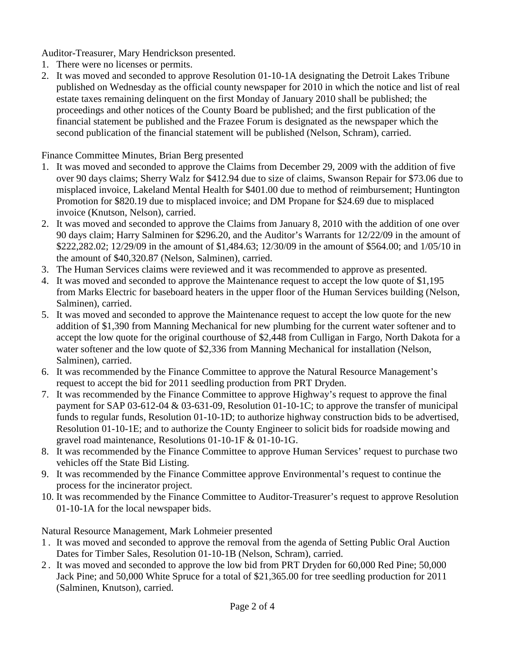Auditor-Treasurer, Mary Hendrickson presented.

- 1. There were no licenses or permits.
- 2. It was moved and seconded to approve Resolution 01-10-1A designating the Detroit Lakes Tribune published on Wednesday as the official county newspaper for 2010 in which the notice and list of real estate taxes remaining delinquent on the first Monday of January 2010 shall be published; the proceedings and other notices of the County Board be published; and the first publication of the financial statement be published and the Frazee Forum is designated as the newspaper which the second publication of the financial statement will be published (Nelson, Schram), carried.

Finance Committee Minutes, Brian Berg presented

- 1. It was moved and seconded to approve the Claims from December 29, 2009 with the addition of five over 90 days claims; Sherry Walz for \$412.94 due to size of claims, Swanson Repair for \$73.06 due to misplaced invoice, Lakeland Mental Health for \$401.00 due to method of reimbursement; Huntington Promotion for \$820.19 due to misplaced invoice; and DM Propane for \$24.69 due to misplaced invoice (Knutson, Nelson), carried.
- 2. It was moved and seconded to approve the Claims from January 8, 2010 with the addition of one over 90 days claim; Harry Salminen for \$296.20, and the Auditor's Warrants for 12/22/09 in the amount of \$222,282.02; 12/29/09 in the amount of \$1,484.63; 12/30/09 in the amount of \$564.00; and 1/05/10 in the amount of \$40,320.87 (Nelson, Salminen), carried.
- 3. The Human Services claims were reviewed and it was recommended to approve as presented.
- 4. It was moved and seconded to approve the Maintenance request to accept the low quote of \$1,195 from Marks Electric for baseboard heaters in the upper floor of the Human Services building (Nelson, Salminen), carried.
- 5. It was moved and seconded to approve the Maintenance request to accept the low quote for the new addition of \$1,390 from Manning Mechanical for new plumbing for the current water softener and to accept the low quote for the original courthouse of \$2,448 from Culligan in Fargo, North Dakota for a water softener and the low quote of \$2,336 from Manning Mechanical for installation (Nelson, Salminen), carried.
- 6. It was recommended by the Finance Committee to approve the Natural Resource Management's request to accept the bid for 2011 seedling production from PRT Dryden.
- 7. It was recommended by the Finance Committee to approve Highway's request to approve the final payment for SAP 03-612-04 & 03-631-09, Resolution 01-10-1C; to approve the transfer of municipal funds to regular funds, Resolution 01-10-1D; to authorize highway construction bids to be advertised, Resolution 01-10-1E; and to authorize the County Engineer to solicit bids for roadside mowing and gravel road maintenance, Resolutions 01-10-1F & 01-10-1G.
- 8. It was recommended by the Finance Committee to approve Human Services' request to purchase two vehicles off the State Bid Listing.
- 9. It was recommended by the Finance Committee approve Environmental's request to continue the process for the incinerator project.
- 10. It was recommended by the Finance Committee to Auditor-Treasurer's request to approve Resolution 01-10-1A for the local newspaper bids.

Natural Resource Management, Mark Lohmeier presented

- 1 . It was moved and seconded to approve the removal from the agenda of Setting Public Oral Auction Dates for Timber Sales, Resolution 01-10-1B (Nelson, Schram), carried.
- 2 . It was moved and seconded to approve the low bid from PRT Dryden for 60,000 Red Pine; 50,000 Jack Pine; and 50,000 White Spruce for a total of \$21,365.00 for tree seedling production for 2011 (Salminen, Knutson), carried.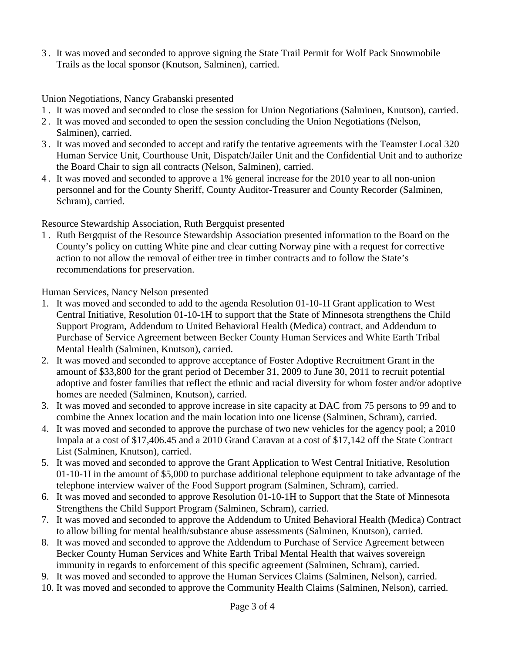3 . It was moved and seconded to approve signing the State Trail Permit for Wolf Pack Snowmobile Trails as the local sponsor (Knutson, Salminen), carried.

Union Negotiations, Nancy Grabanski presented

- 1 . It was moved and seconded to close the session for Union Negotiations (Salminen, Knutson), carried.
- 2 . It was moved and seconded to open the session concluding the Union Negotiations (Nelson, Salminen), carried.
- 3 . It was moved and seconded to accept and ratify the tentative agreements with the Teamster Local 320 Human Service Unit, Courthouse Unit, Dispatch/Jailer Unit and the Confidential Unit and to authorize the Board Chair to sign all contracts (Nelson, Salminen), carried.
- 4 . It was moved and seconded to approve a 1% general increase for the 2010 year to all non-union personnel and for the County Sheriff, County Auditor-Treasurer and County Recorder (Salminen, Schram), carried.

Resource Stewardship Association, Ruth Bergquist presented

1 . Ruth Bergquist of the Resource Stewardship Association presented information to the Board on the County's policy on cutting White pine and clear cutting Norway pine with a request for corrective action to not allow the removal of either tree in timber contracts and to follow the State's recommendations for preservation.

Human Services, Nancy Nelson presented

- 1. It was moved and seconded to add to the agenda Resolution 01-10-1I Grant application to West Central Initiative, Resolution 01-10-1H to support that the State of Minnesota strengthens the Child Support Program, Addendum to United Behavioral Health (Medica) contract, and Addendum to Purchase of Service Agreement between Becker County Human Services and White Earth Tribal Mental Health (Salminen, Knutson), carried.
- 2. It was moved and seconded to approve acceptance of Foster Adoptive Recruitment Grant in the amount of \$33,800 for the grant period of December 31, 2009 to June 30, 2011 to recruit potential adoptive and foster families that reflect the ethnic and racial diversity for whom foster and/or adoptive homes are needed (Salminen, Knutson), carried.
- 3. It was moved and seconded to approve increase in site capacity at DAC from 75 persons to 99 and to combine the Annex location and the main location into one license (Salminen, Schram), carried.
- 4. It was moved and seconded to approve the purchase of two new vehicles for the agency pool; a 2010 Impala at a cost of \$17,406.45 and a 2010 Grand Caravan at a cost of \$17,142 off the State Contract List (Salminen, Knutson), carried.
- 5. It was moved and seconded to approve the Grant Application to West Central Initiative, Resolution 01-10-1I in the amount of \$5,000 to purchase additional telephone equipment to take advantage of the telephone interview waiver of the Food Support program (Salminen, Schram), carried.
- 6. It was moved and seconded to approve Resolution 01-10-1H to Support that the State of Minnesota Strengthens the Child Support Program (Salminen, Schram), carried.
- 7. It was moved and seconded to approve the Addendum to United Behavioral Health (Medica) Contract to allow billing for mental health/substance abuse assessments (Salminen, Knutson), carried.
- 8. It was moved and seconded to approve the Addendum to Purchase of Service Agreement between Becker County Human Services and White Earth Tribal Mental Health that waives sovereign immunity in regards to enforcement of this specific agreement (Salminen, Schram), carried.
- 9. It was moved and seconded to approve the Human Services Claims (Salminen, Nelson), carried.
- 10. It was moved and seconded to approve the Community Health Claims (Salminen, Nelson), carried.